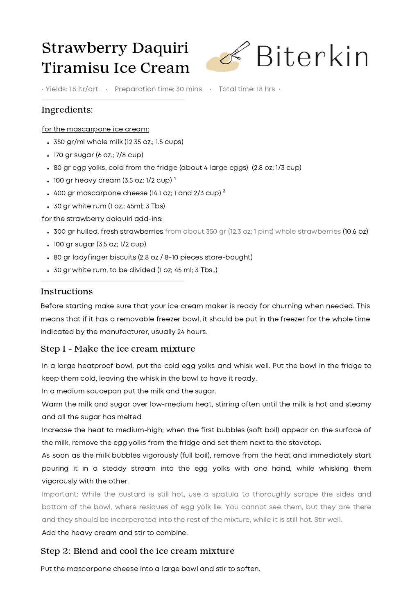# Strawberry Daquiri Tiramisu Ice Cream



• Yields: 1.5 ltr/qrt. • Preparation time: 30 mins • Total time: 18 hrs •

# Ingredients:

#### for the mascarpone ice cream:

- 350 gr/ml whole milk (12.35 oz.; 1.5 cups)
- 170 gr sugar (6 oz.; 7/8 cup)
- 80 gr egg yolks, cold from the fridge (about 4 large eggs) (2.8 oz; 1/3 cup)
- $\cdot$  100 gr heavy cream (3.5 oz; 1/2 cup)  $^1$
- $\cdot$  400 gr mascarpone cheese (14.1 oz; 1 and 2/3 cup)  $^2$
- 30 gr white rum (1 oz.; 45ml; 3 Tbs)

#### for the strawberry daiquiri add-ins:

- 300 gr hulled, fresh strawberries from about 350 gr (12.3 oz; 1 pint) whole strawberries (10.6 oz)
- 100 gr sugar (3.5 oz; 1/2 cup)
- 80 gr ladyfinger biscuits (2.8 oz / 8-10 pieces store-bought)
- 30 gr white rum, to be divided (1 oz; 45 ml; 3 Tbs..)

#### Instructions

Before starting make sure that your ice cream maker is ready for churning when needed. This means that if it has a removable freezer bowl, it should be put in the freezer for the whole time indicated by the manufacturer, usually 24 hours.

## Step 1 - Make the ice cream mixture

In a large heatproof bowl, put the cold egg yolks and whisk well. Put the bowl in the fridge to keep them cold, leaving the whisk in the bowl to have it ready.

In a medium saucepan put the milk and the sugar.

Warm the milk and sugar over low-medium heat, stirring often until the milk is hot and steamy and all the sugar has melted.

Increase the heat to medium-high; when the first bubbles (soft boil) appear on the surface of the milk, remove the egg yolks from the fridge and set them next to the stovetop.

As soon as the milk bubbles vigorously (full boil), remove from the heat and immediately start pouring it in a steady stream into the egg yolks with one hand, while whisking them vigorously with the other.

Important: While the custard is still hot, use a spatula to thoroughly scrape the sides and bottom of the bowl, where residues of egg yolk lie. You cannot see them, but they are there and they should be incorporated into the rest of the mixture, while it is still hot. Stir well.

Add the heavy cream and stir to combine.

#### Step 2: Blend and cool the ice cream mixture

Put the mascarpone cheese into a large bowl and stir to soften.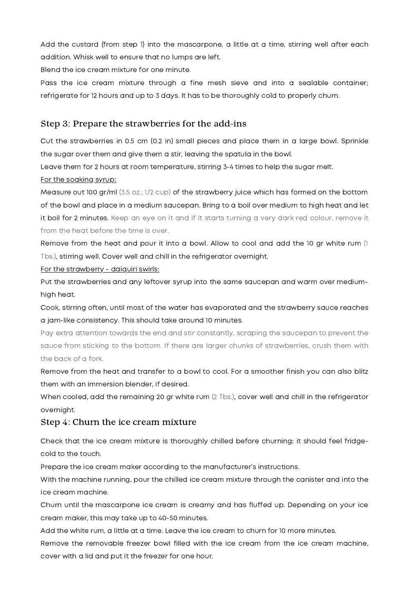Add the custard (from step 1) into the mascarpone, a little at a time, stirring well after each addition. Whisk well to ensure that no lumps are left.

Blend the ice cream mixture for one minute.

Pass the ice cream mixture through a fine mesh sieve and into a sealable container; refrigerate for 12 hours and up to 3 days. It has to be thoroughly cold to properly churn.

# Step 3: Prepare the strawberries for the add-ins

Cut the strawberries in 0.5 cm (0.2 in) small pieces and place them in a large bowl. Sprinkle the sugar over them and give them a stir, leaving the spatula in the bowl.

Leave them for 2 hours at room temperature, stirring 3-4 times to help the sugar melt.

#### For the soaking syrup:

Measure out 100 gr/ml (3.5 oz.; 1/2 cup) of the strawberry juice which has formed on the bottom of the bowl and place in a medium saucepan. Bring to a boil over medium to high heat and let it boil for 2 minutes. Keep an eye on it and if it starts turning a very dark red colour, remove it from the heat before the time is over.

Remove from the heat and pour it into a bowl. Allow to cool and add the 10 gr white rum (1 Tbs.), stirring well. Cover well and chill in the refrigerator overnight.

#### For the strawberry - daiquiri swirls:

Put the strawberries and any leftover syrup into the same saucepan and warm over mediumhigh heat.

Cook, stirring often, until most of the water has evaporated and the strawberry sauce reaches a jam-like consistency. This should take around 10 minutes.

Pay extra attention towards the end and stir constantly, scraping the saucepan to prevent the sauce from sticking to the bottom. If there are larger chunks of strawberries, crush them with the back of a fork.

Remove from the heat and transfer to a bowl to cool. For a smoother finish you can also blitz them with an immersion blender, if desired.

When cooled, add the remaining 20 gr white rum (2 Tbs.), cover well and chill in the refrigerator overnight.

## Step 4: Churn the ice cream mixture

Check that the ice cream mixture is thoroughly chilled before churning: it should feel fridgecold to the touch.

Prepare the ice cream maker according to the manufacturer's instructions.

With the machine running, pour the chilled ice cream mixture through the canister and into the ice cream machine.

Churn until the mascarpone ice cream is creamy and has fluffed up. Depending on your ice cream maker, this may take up to 40-50 minutes.

Add the white rum, a little at a time. Leave the ice cream to churn for 10 more minutes.

Remove the removable freezer bowl filled with the ice cream from the ice cream machine, cover with a lid and put it the freezer for one hour.